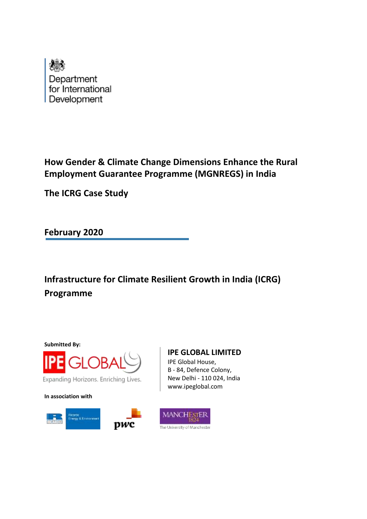

# **How Gender & Climate Change Dimensions Enhance the Rural Employment Guarantee Programme (MGNREGS) in India**

**The ICRG Case Study**

**February 2020**

**Infrastructure for Climate Resilient Growth in India (ICRG) Programme**

**Submitted By:**



Expanding Horizons. Enriching Lives.

**In association with**





B - 84, Defence Colony, New Delhi - 110 024, India www.ipeglobal.com

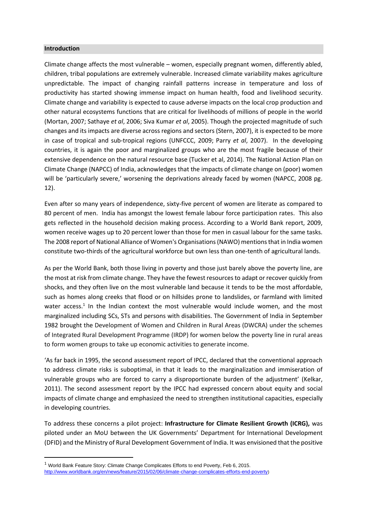#### **Introduction**

Climate change affects the most vulnerable – women, especially pregnant women, differently abled, children, tribal populations are extremely vulnerable. Increased climate variability makes agriculture unpredictable. The impact of changing rainfall patterns increase in temperature and loss of productivity has started showing immense impact on human health, food and livelihood security. Climate change and variability is expected to cause adverse impacts on the local crop production and other natural ecosystems functions that are critical for livelihoods of millions of people in the world (Mortan, 2007; Sathaye *et al*, 2006; Siva Kumar *et al*, 2005). Though the projected magnitude of such changes and its impacts are diverse across regions and sectors (Stern, 2007), it is expected to be more in case of tropical and sub-tropical regions (UNFCCC, 2009; Parry *et al*, 2007). In the developing countries, it is again the poor and marginalized groups who are the most fragile because of their extensive dependence on the natural resource base (Tucker et al, 2014). The National Action Plan on Climate Change (NAPCC) of India, acknowledges that the impacts of climate change on (poor) women will be 'particularly severe,' worsening the deprivations already faced by women (NAPCC, 2008 pg. 12).

Even after so many years of independence, sixty-five percent of women are literate as compared to 80 percent of men. India has amongst the lowest female labour force participation rates. This also gets reflected in the household decision making process. According to a World Bank report, 2009, women receive wages up to 20 percent lower than those for men in casual labour for the same tasks. The 2008 report of National Alliance of Women's Organisations (NAWO) mentions that in India women constitute two-thirds of the agricultural workforce but own less than one-tenth of agricultural lands.

As per the World Bank, both those living in poverty and those just barely above the poverty line, are the most at risk from climate change. They have the fewest resources to adapt or recover quickly from shocks, and they often live on the most vulnerable land because it tends to be the most affordable, such as homes along creeks that flood or on hillsides prone to landslides, or farmland with limited water access.<sup>1</sup> In the Indian context the most vulnerable would include women, and the most marginalized including SCs, STs and persons with disabilities. The Government of India in September 1982 brought the Development of Women and Children in Rural Areas (DWCRA) under the schemes of Integrated Rural Development Programme (IRDP) for women below the poverty line in rural areas to form women groups to take up economic activities to generate income.

'As far back in 1995, the second assessment report of IPCC, declared that the conventional approach to address climate risks is suboptimal, in that it leads to the marginalization and immiseration of vulnerable groups who are forced to carry a disproportionate burden of the adjustment' (Kelkar, 2011). The second assessment report by the IPCC had expressed concern about equity and social impacts of climate change and emphasized the need to strengthen institutional capacities, especially in developing countries.

To address these concerns a pilot project: **Infrastructure for Climate Resilient Growth (ICRG),** was piloted under an MoU between the UK Governments' Department for International Development (DFID) and the Ministry of Rural Development Government of India. It was envisioned that the positive

<sup>1</sup> World Bank Feature Story: Climate Change Complicates Efforts to end Poverty, Feb 6, 2015. <http://www.worldbank.org/en/news/feature/2015/02/06/climate-change-complicates-efforts-end-poverty>)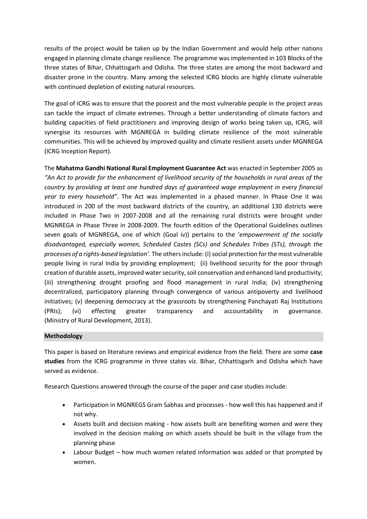results of the project would be taken up by the Indian Government and would help other nations engaged in planning climate change resilience. The programme was implemented in 103 Blocks of the three states of Bihar, Chhattisgarh and Odisha. The three states are among the most backward and disaster prone in the country. Many among the selected ICRG blocks are highly climate vulnerable with continued depletion of existing natural resources.

The goal of ICRG was to ensure that the poorest and the most vulnerable people in the project areas can tackle the impact of climate extremes. Through a better understanding of climate factors and building capacities of field practitioners and improving design of works being taken up, ICRG, will synergise its resources with MGNREGA in building climate resilience of the most vulnerable communities. This will be achieved by improved quality and climate resilient assets under MGNREGA (ICRG Inception Report).

The **Mahatma Gandhi National Rural Employment Guarantee Act** was enacted in September 2005 as *"An Act to provide for the enhancement of livelihood security of the households in rural areas of the country by providing at least one hundred days of guaranteed wage employment in every financial year to every household"*. The Act was implemented in a phased manner. In Phase One it was introduced in 200 of the most backward districts of the country, an additional 130 districts were included in Phase Two in 2007-2008 and all the remaining rural districts were brought under MGNREGA in Phase Three in 2008-2009. The fourth edition of the Operational Guidelines outlines seven goals of MGNREGA, one of which (Goal iv)) pertains to the '*empowerment of the socially disadvantaged, especially women, Scheduled Castes (SCs) and Schedules Tribes (STs), through the processes of a rights-based legislation'.* The others include: (i) social protection for the most vulnerable people living in rural India by providing employment; (ii) livelihood security for the poor through creation of durable assets, improved water security, soil conservation and enhanced land productivity; (iii) strengthening drought proofing and flood management in rural India; (iv) strengthening decentralized, participatory planning through convergence of various antipoverty and livelihood initiatives; (v) deepening democracy at the grassroots by strengthening Panchayati Raj Institutions (PRIs); (vi) effecting greater transparency and accountability in governance. (Ministry of Rural Development, 2013).

## **Methodology**

This paper is based on literature reviews and empirical evidence from the field. There are some **case studies** from the ICRG programme in three states viz. Bihar, Chhattisgarh and Odisha which have served as evidence.

Research Questions answered through the course of the paper and case studies include:

- Participation in MGNREGS Gram Sabhas and processes how well this has happened and if not why.
- Assets built and decision making how assets built are benefiting women and were they involved in the decision making on which assets should be built in the village from the planning phase
- Labour Budget how much women related information was added or that prompted by women.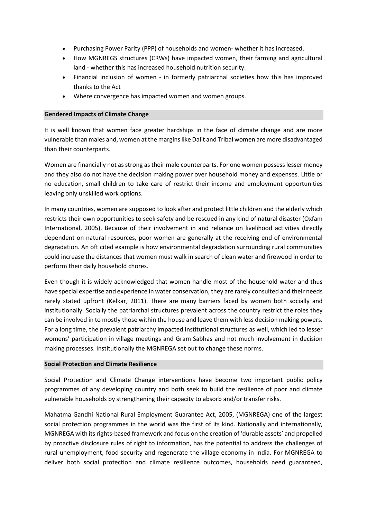- Purchasing Power Parity (PPP) of households and women- whether it has increased.
- How MGNREGS structures (CRWs) have impacted women, their farming and agricultural land - whether this has increased household nutrition security.
- Financial inclusion of women in formerly patriarchal societies how this has improved thanks to the Act
- Where convergence has impacted women and women groups.

## **Gendered Impacts of Climate Change**

It is well known that women face greater hardships in the face of climate change and are more vulnerable than males and, women at the margins like Dalit and Tribal women are more disadvantaged than their counterparts.

Women are financially not as strong as their male counterparts. For one women possess lesser money and they also do not have the decision making power over household money and expenses. Little or no education, small children to take care of restrict their income and employment opportunities leaving only unskilled work options.

In many countries, women are supposed to look after and protect little children and the elderly which restricts their own opportunities to seek safety and be rescued in any kind of natural disaster (Oxfam International, 2005). Because of their involvement in and reliance on livelihood activities directly dependent on natural resources, poor women are generally at the receiving end of environmental degradation. An oft cited example is how environmental degradation surrounding rural communities could increase the distances that women must walk in search of clean water and firewood in order to perform their daily household chores.

Even though it is widely acknowledged that women handle most of the household water and thus have special expertise and experience in water conservation, they are rarely consulted and their needs rarely stated upfront (Kelkar, 2011). There are many barriers faced by women both socially and institutionally. Socially the patriarchal structures prevalent across the country restrict the roles they can be involved in to mostly those within the house and leave them with less decision making powers. For a long time, the prevalent patriarchy impacted institutional structures as well, which led to lesser womens' participation in village meetings and Gram Sabhas and not much involvement in decision making processes. Institutionally the MGNREGA set out to change these norms.

#### **Social Protection and Climate Resilience**

Social Protection and Climate Change interventions have become two important public policy programmes of any developing country and both seek to build the resilience of poor and climate vulnerable households by strengthening their capacity to absorb and/or transfer risks.

Mahatma Gandhi National Rural Employment Guarantee Act, 2005, (MGNREGA) one of the largest social protection programmes in the world was the first of its kind. Nationally and internationally, MGNREGA with its rights-based framework and focus on the creation of 'durable assets' and propelled by proactive disclosure rules of right to information, has the potential to address the challenges of rural unemployment, food security and regenerate the village economy in India. For MGNREGA to deliver both social protection and climate resilience outcomes, households need guaranteed,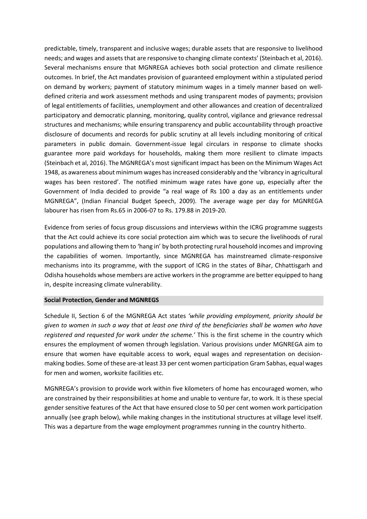predictable, timely, transparent and inclusive wages; durable assets that are responsive to livelihood needs; and wages and assets that are responsive to changing climate contexts' (Steinbach et al, 2016). Several mechanisms ensure that MGNREGA achieves both social protection and climate resilience outcomes. In brief, the Act mandates provision of guaranteed employment within a stipulated period on demand by workers; payment of statutory minimum wages in a timely manner based on welldefined criteria and work assessment methods and using transparent modes of payments; provision of legal entitlements of facilities, unemployment and other allowances and creation of decentralized participatory and democratic planning, monitoring, quality control, vigilance and grievance redressal structures and mechanisms; while ensuring transparency and public accountability through proactive disclosure of documents and records for public scrutiny at all levels including monitoring of critical parameters in public domain. Government-issue legal circulars in response to climate shocks guarantee more paid workdays for households, making them more resilient to climate impacts (Steinbach et al, 2016). The MGNREGA's most significant impact has been on the Minimum Wages Act 1948, as awareness about minimum wages has increased considerably and the 'vibrancy in agricultural wages has been restored'. The notified minimum wage rates have gone up, especially after the Government of India decided to provide "a real wage of Rs 100 a day as an entitlements under MGNREGA", (Indian Financial Budget Speech, 2009). The average wage per day for MGNREGA labourer has risen from Rs.65 in 2006-07 to Rs. 179.88 in 2019-20.

Evidence from series of focus group discussions and interviews within the ICRG programme suggests that the Act could achieve its core social protection aim which was to secure the livelihoods of rural populations and allowing them to 'hang in' by both protecting rural household incomes and improving the capabilities of women. Importantly, since MGNREGA has mainstreamed climate-responsive mechanisms into its programme, with the support of ICRG in the states of Bihar, Chhattisgarh and Odisha households whose members are active workers in the programme are better equipped to hang in, despite increasing climate vulnerability.

## **Social Protection, Gender and MGNREGS**

Schedule II, Section 6 of the MGNREGA Act states *'while providing employment, priority should be given to women in such a way that at least one third of the beneficiaries shall be women who have registered and requested for work under the scheme.'* This is the first scheme in the country which ensures the employment of women through legislation. Various provisions under MGNREGA aim to ensure that women have equitable access to work, equal wages and representation on decisionmaking bodies. Some of these are-at least 33 per cent women participation Gram Sabhas, equal wages for men and women, worksite facilities etc.

MGNREGA's provision to provide work within five kilometers of home has encouraged women, who are constrained by their responsibilities at home and unable to venture far, to work. It is these special gender sensitive features of the Act that have ensured close to 50 per cent women work participation annually (see graph below), while making changes in the institutional structures at village level itself. This was a departure from the wage employment programmes running in the country hitherto.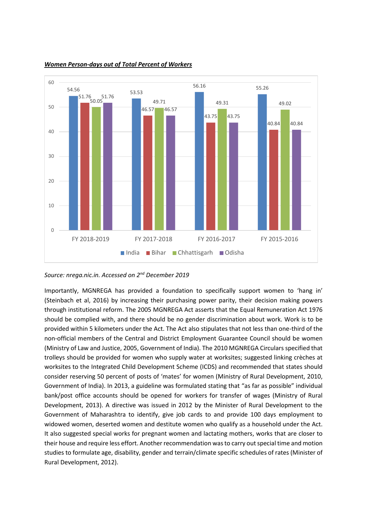

*Women Person-days out of Total Percent of Workers* 

*Source: nrega.nic.in. Accessed on 2nd December 2019*

Importantly, MGNREGA has provided a foundation to specifically support women to 'hang in' (Steinbach et al, 2016) by increasing their purchasing power parity, their decision making powers through institutional reform. The 2005 MGNREGA Act asserts that the Equal Remuneration Act 1976 should be complied with, and there should be no gender discrimination about work. Work is to be provided within 5 kilometers under the Act. The Act also stipulates that not less than one-third of the non-official members of the Central and District Employment Guarantee Council should be women (Ministry of Law and Justice, 2005, Government of India). The 2010 MGNREGA Circulars specified that trolleys should be provided for women who supply water at worksites; suggested linking crèches at worksites to the Integrated Child Development Scheme (ICDS) and recommended that states should consider reserving 50 percent of posts of 'mates' for women (Ministry of Rural Development, 2010, Government of India). In 2013, a guideline was formulated stating that "as far as possible" individual bank/post office accounts should be opened for workers for transfer of wages (Ministry of Rural Development, 2013). A directive was issued in 2012 by the Minister of Rural Development to the Government of Maharashtra to identify, give job cards to and provide 100 days employment to widowed women, deserted women and destitute women who qualify as a household under the Act. It also suggested special works for pregnant women and lactating mothers, works that are closer to their house and require less effort. Another recommendation was to carry out special time and motion studies to formulate age, disability, gender and terrain/climate specific schedules of rates (Minister of Rural Development, 2012).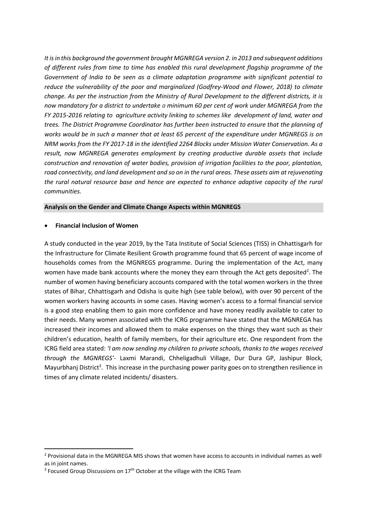*It is in this background the government brought MGNREGA version 2. in 2013 and subsequent additions of different rules from time to time has enabled this rural development flagship programme of the Government of India to be seen as a climate adaptation programme with significant potential to reduce the vulnerability of the poor and marginalized (Godfrey-Wood and Flower, 2018) to climate change. As per the instruction from the Ministry of Rural Development to the different districts, it is now mandatory for a district to undertake a minimum 60 per cent of work under MGNREGA from the FY 2015-2016 relating to agriculture activity linking to schemes like development of land, water and trees. The District Programme Coordinator has further been instructed to ensure that the planning of works would be in such a manner that at least 65 percent of the expenditure under MGNREGS is on NRM works from the FY 2017-18 in the identified 2264 Blocks under Mission Water Conservation. As a result, now MGNREGA generates employment by creating productive durable assets that include construction and renovation of water bodies, provision of irrigation facilities to the poor, plantation, road connectivity, and land development and so on in the rural areas. These assets aim at rejuvenating the rural natural resource base and hence are expected to enhance adaptive capacity of the rural communities.*

## **Analysis on the Gender and Climate Change Aspects within MGNREGS**

#### • **Financial Inclusion of Women**

A study conducted in the year 2019, by the Tata Institute of Social Sciences (TISS) in Chhattisgarh for the Infrastructure for Climate Resilient Growth programme found that 65 percent of wage income of households comes from the MGNREGS programme. During the implementation of the Act, many women have made bank accounts where the money they earn through the Act gets deposited<sup>2</sup>. The number of women having beneficiary accounts compared with the total women workers in the three states of Bihar, Chhattisgarh and Odisha is quite high (see table below), with over 90 percent of the women workers having accounts in some cases. Having women's access to a formal financial service is a good step enabling them to gain more confidence and have money readily available to cater to their needs. Many women associated with the ICRG programme have stated that the MGNREGA has increased their incomes and allowed them to make expenses on the things they want such as their children's education, health of family members, for their agriculture etc. One respondent from the ICRG field area stated: *'I am now sending my children to private schools, thanks to the wages received through the MGNREGS'*- Laxmi Marandi, Chheligadhuli Village, Dur Dura GP, Jashipur Block, Mayurbhanj District<sup>3</sup>. This increase in the purchasing power parity goes on to strengthen resilience in times of any climate related incidents/ disasters.

<sup>&</sup>lt;sup>2</sup> Provisional data in the MGNREGA MIS shows that women have access to accounts in individual names as well as in joint names.

 $3$  Focused Group Discussions on 17<sup>th</sup> October at the village with the ICRG Team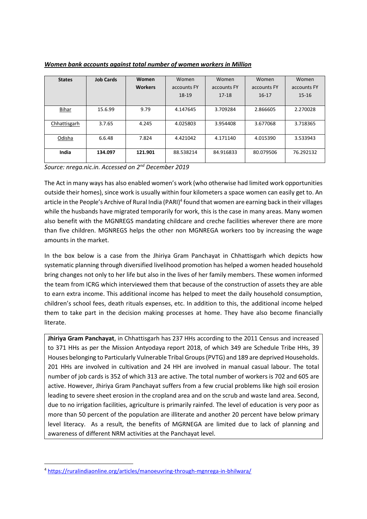| <b>States</b> | <b>Job Cards</b> | Women          | Women       | Women       | Women       | Women       |
|---------------|------------------|----------------|-------------|-------------|-------------|-------------|
|               |                  | <b>Workers</b> | accounts FY | accounts FY | accounts FY | accounts FY |
|               |                  |                | $18-19$     | 17-18       | $16 - 17$   | $15 - 16$   |
|               |                  |                |             |             |             |             |
| <b>Bihar</b>  | 15.6.99          | 9.79           | 4.147645    | 3.709284    | 2.866605    | 2.270028    |
|               |                  |                |             |             |             |             |
| Chhattisgarh  | 3.7.65           | 4.245          | 4.025803    | 3.954408    | 3.677068    | 3.718365    |
|               |                  |                |             |             |             |             |
| Odisha        | 6.6.48           | 7.824          | 4.421042    | 4.171140    | 4.015390    | 3.533943    |
|               |                  |                |             |             |             |             |
| India         | 134.097          | 121.901        | 88.538214   | 84.916833   | 80.079506   | 76.292132   |
|               |                  |                |             |             |             |             |

*Women bank accounts against total number of women workers in Million*

*Source: nrega.nic.in. Accessed on 2nd December 2019*

The Act in many ways has also enabled women's work (who otherwise had limited work opportunities outside their homes), since work is usually within four kilometers a space women can easily get to. An article in the People's Archive of Rural India (PARI)<sup>4</sup> found that women are earning back in their villages while the husbands have migrated temporarily for work, this is the case in many areas. Many women also benefit with the MGNREGS mandating childcare and creche facilities wherever there are more than five children. MGNREGS helps the other non MGNREGA workers too by increasing the wage amounts in the market.

In the box below is a case from the Jhiriya Gram Panchayat in Chhattisgarh which depicts how systematic planning through diversified livelihood promotion has helped a women headed household bring changes not only to her life but also in the lives of her family members. These women informed the team from ICRG which interviewed them that because of the construction of assets they are able to earn extra income. This additional income has helped to meet the daily household consumption, children's school fees, death rituals expenses, etc. In addition to this, the additional income helped them to take part in the decision making processes at home. They have also become financially literate.

**Jhiriya Gram Panchayat**, in Chhattisgarh has 237 HHs according to the 2011 Census and increased to 371 HHs as per the Mission Antyodaya report 2018, of which 349 are Schedule Tribe HHs, 39 Houses belonging to Particularly Vulnerable Tribal Groups (PVTG) and 189 are deprived Households. 201 HHs are involved in cultivation and 24 HH are involved in manual casual labour. The total number of job cards is 352 of which 313 are active. The total number of workers is 702 and 605 are active. However, Jhiriya Gram Panchayat suffers from a few crucial problems like high soil erosion leading to severe sheet erosion in the cropland area and on the scrub and waste land area. Second, due to no irrigation facilities, agriculture is primarily rainfed. The level of education is very poor as more than 50 percent of the population are illiterate and another 20 percent have below primary level literacy. As a result, the benefits of MGRNEGA are limited due to lack of planning and awareness of different NRM activities at the Panchayat level.

<sup>4</sup> <https://ruralindiaonline.org/articles/manoeuvring-through-mgnrega-in-bhilwara/>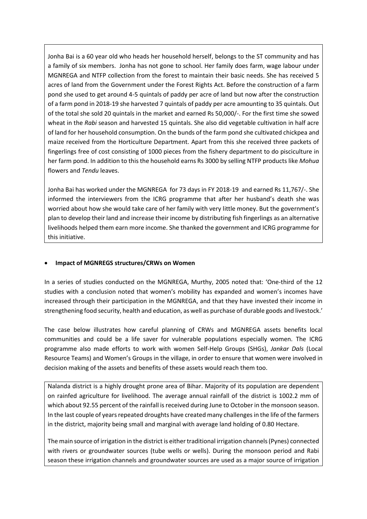Jonha Bai is a 60 year old who heads her household herself, belongs to the ST community and has a family of six members. Jonha has not gone to school. Her family does farm, wage labour under MGNREGA and NTFP collection from the forest to maintain their basic needs. She has received 5 acres of land from the Government under the Forest Rights Act. Before the construction of a farm pond she used to get around 4-5 quintals of paddy per acre of land but now after the construction of a farm pond in 2018-19 she harvested 7 quintals of paddy per acre amounting to 35 quintals. Out of the total she sold 20 quintals in the market and earned Rs 50,000/-. For the first time she sowed wheat in the *Rabi* season and harvested 15 quintals. She also did vegetable cultivation in half acre of land for her household consumption. On the bunds of the farm pond she cultivated chickpea and maize received from the Horticulture Department. Apart from this she received three packets of fingerlings free of cost consisting of 1000 pieces from the fishery department to do pisciculture in her farm pond. In addition to this the household earns Rs 3000 by selling NTFP products like *Mohua* flowers and *Tendu* leaves.

Jonha Bai has worked under the MGNREGA for 73 days in FY 2018-19 and earned Rs 11,767/-. She informed the interviewers from the ICRG programme that after her husband's death she was worried about how she would take care of her family with very little money. But the government's plan to develop their land and increase their income by distributing fish fingerlings as an alternative livelihoods helped them earn more income. She thanked the government and ICRG programme for this initiative.

## • **Impact of MGNREGS structures/CRWs on Women**

In a series of studies conducted on the MGNREGA, Murthy, 2005 noted that: 'One-third of the 12 studies with a conclusion noted that women's mobility has expanded and women's incomes have increased through their participation in the MGNREGA, and that they have invested their income in strengthening food security, health and education, as well as purchase of durable goods and livestock.'

The case below illustrates how careful planning of CRWs and MGNREGA assets benefits local communities and could be a life saver for vulnerable populations especially women. The ICRG programme also made efforts to work with women Self-Help Groups (SHGs), *Jankar Dals* (Local Resource Teams) and Women's Groups in the village, in order to ensure that women were involved in decision making of the assets and benefits of these assets would reach them too.

Nalanda district is a highly drought prone area of Bihar. Majority of its population are dependent on rainfed agriculture for livelihood. The average annual rainfall of the district is 1002.2 mm of which about 92.55 percent of the rainfall is received during June to October in the monsoon season. In the last couple of years repeated droughts have created many challenges in the life of the farmers in the district, majority being small and marginal with average land holding of 0.80 Hectare.

The main source of irrigation in the district is either traditional irrigation channels (Pynes) connected with rivers or groundwater sources (tube wells or wells). During the monsoon period and Rabi season these irrigation channels and groundwater sources are used as a major source of irrigation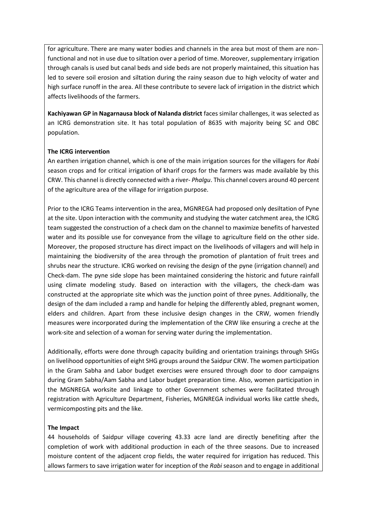for agriculture. There are many water bodies and channels in the area but most of them are nonfunctional and not in use due to siltation over a period of time. Moreover, supplementary irrigation through canals is used but canal beds and side beds are not properly maintained, this situation has led to severe soil erosion and siltation during the rainy season due to high velocity of water and high surface runoff in the area. All these contribute to severe lack of irrigation in the district which affects livelihoods of the farmers.

**Kachiyawan GP in Nagarnausa block of Nalanda district** faces similar challenges, it was selected as an ICRG demonstration site. It has total population of 8635 with majority being SC and OBC population.

## **The ICRG intervention**

An earthen irrigation channel, which is one of the main irrigation sources for the villagers for *Rabi*  season crops and for critical irrigation of kharif crops for the farmers was made available by this CRW. This channel is directly connected with a river- *Phalgu*. This channel covers around 40 percent of the agriculture area of the village for irrigation purpose.

Prior to the ICRG Teams intervention in the area, MGNREGA had proposed only desiltation of Pyne at the site. Upon interaction with the community and studying the water catchment area, the ICRG team suggested the construction of a check dam on the channel to maximize benefits of harvested water and its possible use for conveyance from the village to agriculture field on the other side. Moreover, the proposed structure has direct impact on the livelihoods of villagers and will help in maintaining the biodiversity of the area through the promotion of plantation of fruit trees and shrubs near the structure. ICRG worked on revising the design of the pyne (irrigation channel) and Check-dam. The pyne side slope has been maintained considering the historic and future rainfall using climate modeling study. Based on interaction with the villagers, the check-dam was constructed at the appropriate site which was the junction point of three pynes. Additionally, the design of the dam included a ramp and handle for helping the differently abled, pregnant women, elders and children. Apart from these inclusive design changes in the CRW, women friendly measures were incorporated during the implementation of the CRW like ensuring a creche at the work-site and selection of a woman for serving water during the implementation.

Additionally, efforts were done through capacity building and orientation trainings through SHGs on livelihood opportunities of eight SHG groups around the Saidpur CRW. The women participation in the Gram Sabha and Labor budget exercises were ensured through door to door campaigns during Gram Sabha/Aam Sabha and Labor budget preparation time. Also, women participation in the MGNREGA worksite and linkage to other Government schemes were facilitated through registration with Agriculture Department, Fisheries, MGNREGA individual works like cattle sheds, vermicomposting pits and the like.

## **The Impact**

44 households of Saidpur village covering 43.33 acre land are directly benefiting after the completion of work with additional production in each of the three seasons. Due to increased moisture content of the adjacent crop fields, the water required for irrigation has reduced. This allows farmers to save irrigation water for inception of the *Rabi* season and to engage in additional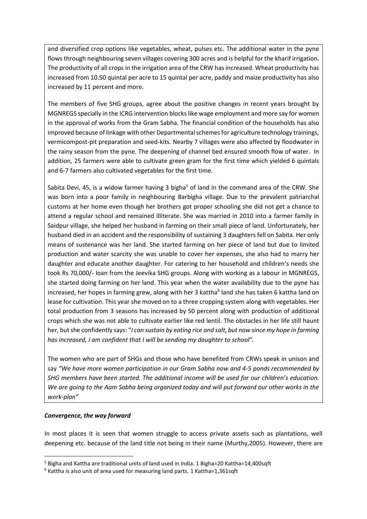and diversified crop options like vegetables, wheat, pulses etc. The additional water in the pyne flows through neighbouring seven villages covering 300 acres and is helpful for the kharif irrigation. The productivity of all crops in the irrigation area of the CRW has increased. Wheat productivity has increased from 10.50 quintal per acre to 15 quintal per acre, paddy and maize productivity has also increased by 11 percent and more.

The members of five SHG groups, agree about the positive changes in recent years brought by MGNREGS specially in the ICRG intervention blocks like wage employment and more say for women in the approval of works from the Gram Sabha. The financial condition of the households has also improved because of linkage with other Departmental schemes for agriculture technology trainings, vermicompost-pit preparation and seed-kits. Nearby 7 villages were also affected by floodwater in the rainy season from the pyne. The deepening of channel bed ensured smooth flow of water. In addition, 25 farmers were able to cultivate green gram for the first time which yielded 6 quintals and 6-7 farmers also cultivated vegetables for the first time.

Sabita Devi, 45, is a widow farmer having 3 bigha<sup>5</sup> of land in the command area of the CRW. She was born into a poor family in neighbouring Barbigha village. Due to the prevalent patriarchal customs at her home even though her brothers got proper schooling she did not get a chance to attend a regular school and remained illiterate. She was married in 2010 into a farmer family in Saidpur village, she helped her husband in farming on their small piece of land. Unfortunately, her husband died in an accident and the responsibility of sustaining 3 daughters fell on Sabita. Her only means of sustenance was her land. She started farming on her piece of land but due to limited production and water scarcity she was unable to cover her expenses, she also had to marry her daughter and educate another daughter. For catering to her household and children's needs she took Rs 70,000/- loan from the Jeevika SHG groups. Along with working as a labour in MGNREGS, she started doing farming on her land. This year when the water availability due to the pyne has increased, her hopes in farming grew, along with her 3 kattha<sup>6</sup> land she has taken 6 kattha land on lease for cultivation. This year she moved on to a three cropping system along with vegetables. Her total production from 3 seasons has increased by 50 percent along with production of additional crops which she was not able to cultivate earlier like red lentil. The obstacles in her life still haunt her, but she confidently says: "*I can sustain by eating rice and salt, but now since my hope in farming has increased, I am confident that I will be sending my daughter to school".* 

The women who are part of SHGs and those who have benefited from CRWs speak in unison and say *"We have more women participation in our Gram Sabha now and 4-5 ponds recommended by SHG members have been started. The additional income will be used for our children's education. We are going to the Aam Sabha being organized today and will put forward our other works in the work-plan"*

## *Convergence, the way forward*

In most places it is seen that women struggle to access private assets such as plantations, well deepening etc. because of the land title not being in their name (Murthy,2005). However, there are

<sup>5</sup> Bigha and Kattha are traditional units of land used in India. 1 Bigha=20 Kattha=14,400sqft

<sup>6</sup> Kattha is also unit of area used for measuring land parts. 1 Kattha=1,361sqft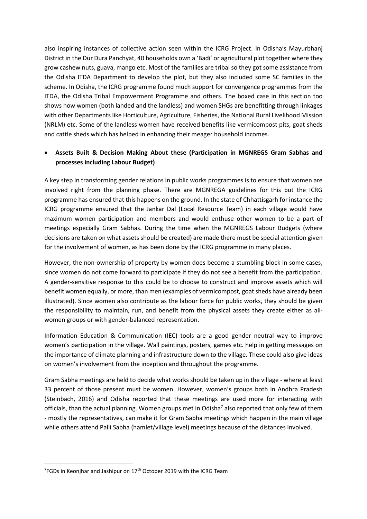also inspiring instances of collective action seen within the ICRG Project. In Odisha's Mayurbhanj District in the Dur Dura Panchyat, 40 households own a 'Badi' or agricultural plot together where they grow cashew nuts, guava, mango etc. Most of the families are tribal so they got some assistance from the Odisha ITDA Department to develop the plot, but they also included some SC families in the scheme. In Odisha, the ICRG programme found much support for convergence programmes from the ITDA, the Odisha Tribal Empowerment Programme and others. The boxed case in this section too shows how women (both landed and the landless) and women SHGs are benefitting through linkages with other Departments like Horticulture, Agriculture, Fisheries, the National Rural Livelihood Mission (NRLM) etc. Some of the landless women have received benefits like vermicompost pits, goat sheds and cattle sheds which has helped in enhancing their meager household incomes.

# • **Assets Built & Decision Making About these (Participation in MGNREGS Gram Sabhas and processes including Labour Budget)**

A key step in transforming gender relations in public works programmes is to ensure that women are involved right from the planning phase. There are MGNREGA guidelines for this but the ICRG programme has ensured that this happens on the ground. In the state of Chhattisgarh for instance the ICRG programme ensured that the Jankar Dal (Local Resource Team) in each village would have maximum women participation and members and would enthuse other women to be a part of meetings especially Gram Sabhas. During the time when the MGNREGS Labour Budgets (where decisions are taken on what assets should be created) are made there must be special attention given for the involvement of women, as has been done by the ICRG programme in many places.

However, the non-ownership of property by women does become a stumbling block in some cases, since women do not come forward to participate if they do not see a benefit from the participation. A gender-sensitive response to this could be to choose to construct and improve assets which will benefit women equally, or more, than men (examples of vermicompost, goat sheds have already been illustrated). Since women also contribute as the labour force for public works, they should be given the responsibility to maintain, run, and benefit from the physical assets they create either as allwomen groups or with gender-balanced representation.

Information Education & Communication (IEC) tools are a good gender neutral way to improve women's participation in the village. Wall paintings, posters, games etc. help in getting messages on the importance of climate planning and infrastructure down to the village. These could also give ideas on women's involvement from the inception and throughout the programme.

Gram Sabha meetings are held to decide what works should be taken up in the village - where at least 33 percent of those present must be women. However, women's groups both in Andhra Pradesh (Steinbach, 2016) and Odisha reported that these meetings are used more for interacting with officials, than the actual planning. Women groups met in Odisha<sup>7</sup> also reported that only few of them - mostly the representatives, can make it for Gram Sabha meetings which happen in the main village while others attend Palli Sabha (hamlet/village level) meetings because of the distances involved.

 $7$ FGDs in Keonjhar and Jashipur on  $17<sup>th</sup>$  October 2019 with the ICRG Team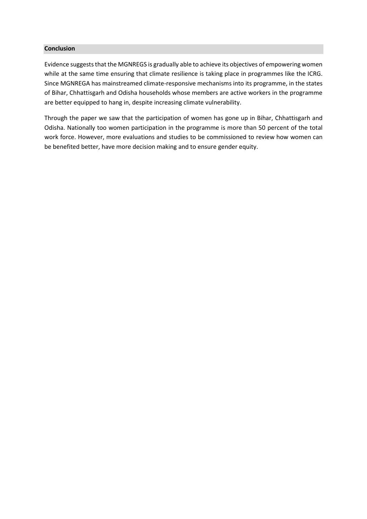## **Conclusion**

Evidence suggests that the MGNREGS is gradually able to achieve its objectives of empowering women while at the same time ensuring that climate resilience is taking place in programmes like the ICRG. Since MGNREGA has mainstreamed climate-responsive mechanisms into its programme, in the states of Bihar, Chhattisgarh and Odisha households whose members are active workers in the programme are better equipped to hang in, despite increasing climate vulnerability.

Through the paper we saw that the participation of women has gone up in Bihar, Chhattisgarh and Odisha. Nationally too women participation in the programme is more than 50 percent of the total work force. However, more evaluations and studies to be commissioned to review how women can be benefited better, have more decision making and to ensure gender equity.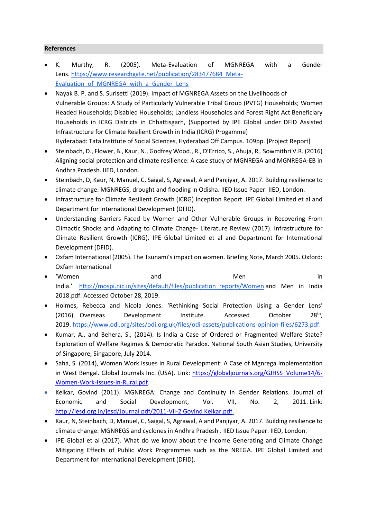## **References**

- K. Murthy, R. (2005). Meta-Evaluation of MGNREGA with a Gender Lens. https://www.researchgate.net/publication/283477684 Meta-Evaluation of MGNREGA with a Gender Lens
- Nayak B. P. and S. Surisetti (2019). Impact of MGNREGA Assets on the Livelihoods of
- Vulnerable Groups: A Study of Particularly Vulnerable Tribal Group (PVTG) Households; Women Headed Households; Disabled Households; Landless Households and Forest Right Act Beneficiary Households in ICRG Districts in Chhattisgarh, (Supported by IPE Global under DFID Assisted Infrastructure for Climate Resilient Growth in India (ICRG) Progamme)

Hyderabad: Tata Institute of Social Sciences, Hyderabad Off Campus. 109pp. [Project Report]

- Steinbach, D., Flower, B., Kaur, N., Godfrey Wood., R., D'Errico, S., Ahuja, R,. Sowmithri V.R. (2016) Aligning social protection and climate resilience: A case study of MGNREGA and MGNREGA-EB in Andhra Pradesh. IIED, London.
- Steinbach, D, Kaur, N, Manuel, C, Saigal, S, Agrawal, A and Panjiyar, A. 2017. Building resilience to climate change: MGNREGS, drought and flooding in Odisha. IIED Issue Paper. IIED, London.
- Infrastructure for Climate Resilient Growth (ICRG) Inception Report. IPE Global Limited et al and Department for International Development (DFID).
- Understanding Barriers Faced by Women and Other Vulnerable Groups in Recovering From Climactic Shocks and Adapting to Climate Change- Literature Review (2017). Infrastructure for Climate Resilient Growth (ICRG). IPE Global Limited et al and Department for International Development (DFID).
- Oxfam International (2005). The Tsunami'simpact on women. Briefing Note, March 2005. Oxford: Oxfam International
- 'Women and and Men in India.' [http://mospi.nic.in/sites/default/files/publication\\_reports/Women](http://mospi.nic.in/sites/default/files/publication_reports/Women) and Men in India 2018.pdf. Accessed October 28, 2019.
- Holmes, Rebecca and Nicola Jones. 'Rethinking Social Protection Using a Gender Lens' (2016). Overseas Development Institute. Accessed October  $28<sup>th</sup>$ . 2019. [https://www.odi.org/sites/odi.org.uk/files/odi-assets/publications-opinion-files/6273.pdf.](https://www.odi.org/sites/odi.org.uk/files/odi-assets/publications-opinion-files/6273.pdf)
- Kumar, A., and Behera, S., (2014). Is India a Case of Ordered or Fragmented Welfare State? Exploration of Welfare Regimes & Democratic Paradox. National South Asian Studies, University of Singapore, Singapore, July 2014.
- Saha, S. (2014), Women Work Issues in Rural Development: A Case of Mgnrega Implementation in West Bengal. Global Journals Inc. (USA). Link: [https://globaljournals.org/GJHSS\\_Volume14/6-](https://globaljournals.org/GJHSS_Volume14/6-Women-Work-Issues-in-Rural.pdf) [Women-Work-Issues-in-Rural.pdf.](https://globaljournals.org/GJHSS_Volume14/6-Women-Work-Issues-in-Rural.pdf)
- Kelkar, Govind (2011). MGNREGA: Change and Continuity in Gender Relations. Journal of Economic and Social Development, Vol. VII, No. 2, 2011. Link: http://iesd.org.in/jesd/Journal [pdf/2011-VII-2 Govind Kelkar.pdf.](http://iesd.org.in/jesd/Journal pdf/2011-VII-2%20Govind%20Kelkar.pdf)
- Kaur, N, Steinbach, D, Manuel, C, Saigal, S, Agrawal, A and Panjiyar, A. 2017. Building resilience to climate change: MGNREGS and cyclones in Andhra Pradesh . IIED Issue Paper. IIED, London.
- IPE Global et al (2017). What do we know about the Income Generating and Climate Change Mitigating Effects of Public Work Programmes such as the NREGA. IPE Global Limited and Department for International Development (DFID).